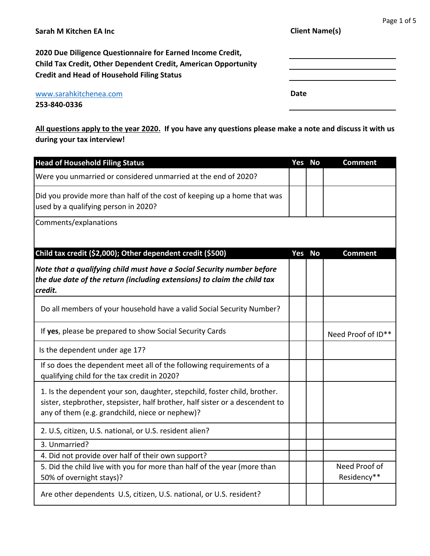| Sarah M Kitchen EA Inc                                                                                                                                                                   | י השי<br><b>Client Name(s)</b> |
|------------------------------------------------------------------------------------------------------------------------------------------------------------------------------------------|--------------------------------|
| 2020 Due Diligence Questionnaire for Earned Income Credit,<br><b>Child Tax Credit, Other Dependent Credit, American Opportunity</b><br><b>Credit and Head of Household Filing Status</b> |                                |
| www.sarahkitchenea.com<br>253-840-0336                                                                                                                                                   | Date                           |

| <b>Head of Household Filing Status</b>                                                                                                                                                                        | Yes No | <b>Comment</b>               |
|---------------------------------------------------------------------------------------------------------------------------------------------------------------------------------------------------------------|--------|------------------------------|
| Were you unmarried or considered unmarried at the end of 2020?                                                                                                                                                |        |                              |
| Did you provide more than half of the cost of keeping up a home that was<br>used by a qualifying person in 2020?                                                                                              |        |                              |
| Comments/explanations                                                                                                                                                                                         |        |                              |
| Child tax credit (\$2,000); Other dependent credit (\$500)                                                                                                                                                    | Yes No | <b>Comment</b>               |
| Note that a qualifying child must have a Social Security number before<br>the due date of the return (including extensions) to claim the child tax<br>credit.                                                 |        |                              |
| Do all members of your household have a valid Social Security Number?                                                                                                                                         |        |                              |
| If yes, please be prepared to show Social Security Cards                                                                                                                                                      |        | Need Proof of ID**           |
| Is the dependent under age 17?                                                                                                                                                                                |        |                              |
| If so does the dependent meet all of the following requirements of a<br>qualifying child for the tax credit in 2020?                                                                                          |        |                              |
| 1. Is the dependent your son, daughter, stepchild, foster child, brother.<br>sister, stepbrother, stepsister, half brother, half sister or a descendent to<br>any of them (e.g. grandchild, niece or nephew)? |        |                              |
| 2. U.S, citizen, U.S. national, or U.S. resident alien?                                                                                                                                                       |        |                              |
| 3. Unmarried?                                                                                                                                                                                                 |        |                              |
| 4. Did not provide over half of their own support?                                                                                                                                                            |        |                              |
| 5. Did the child live with you for more than half of the year (more than<br>50% of overnight stays)?                                                                                                          |        | Need Proof of<br>Residency** |
| Are other dependents U.S, citizen, U.S. national, or U.S. resident?                                                                                                                                           |        |                              |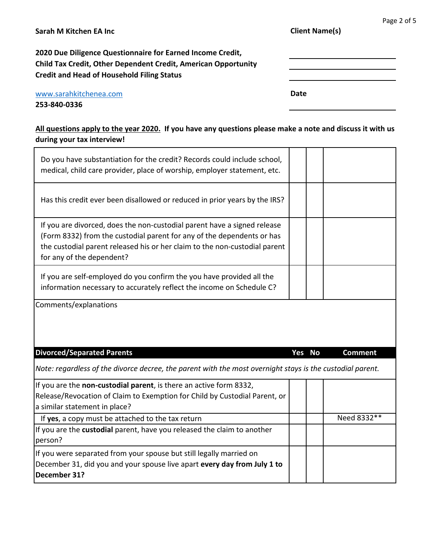| Sarah M Kitchen EA Inc                                                                                                              | <b>Client Name(s)</b> |  |  |  |
|-------------------------------------------------------------------------------------------------------------------------------------|-----------------------|--|--|--|
| 2020 Due Diligence Questionnaire for Earned Income Credit,<br><b>Child Tax Credit, Other Dependent Credit, American Opportunity</b> |                       |  |  |  |
| <b>Credit and Head of Household Filing Status</b>                                                                                   |                       |  |  |  |
| www.sarahkitchenea.com                                                                                                              | Date                  |  |  |  |
| 253-840-0336                                                                                                                        |                       |  |  |  |

| Do you have substantiation for the credit? Records could include school,<br>medical, child care provider, place of worship, employer statement, etc.                                                                                                          |        |                |  |
|---------------------------------------------------------------------------------------------------------------------------------------------------------------------------------------------------------------------------------------------------------------|--------|----------------|--|
| Has this credit ever been disallowed or reduced in prior years by the IRS?                                                                                                                                                                                    |        |                |  |
| If you are divorced, does the non-custodial parent have a signed release<br>(Form 8332) from the custodial parent for any of the dependents or has<br>the custodial parent released his or her claim to the non-custodial parent<br>for any of the dependent? |        |                |  |
| If you are self-employed do you confirm the you have provided all the<br>information necessary to accurately reflect the income on Schedule C?                                                                                                                |        |                |  |
|                                                                                                                                                                                                                                                               |        |                |  |
| Comments/explanations                                                                                                                                                                                                                                         |        |                |  |
| <b>Divorced/Separated Parents</b>                                                                                                                                                                                                                             | Yes No | <b>Comment</b> |  |
| Note: regardless of the divorce decree, the parent with the most overnight stays is the custodial parent.                                                                                                                                                     |        |                |  |
| If you are the non-custodial parent, is there an active form 8332,                                                                                                                                                                                            |        |                |  |
| Release/Revocation of Claim to Exemption for Child by Custodial Parent, or<br>a similar statement in place?                                                                                                                                                   |        |                |  |
| If yes, a copy must be attached to the tax return                                                                                                                                                                                                             |        | Need 8332**    |  |
| If you are the custodial parent, have you released the claim to another<br>person?                                                                                                                                                                            |        |                |  |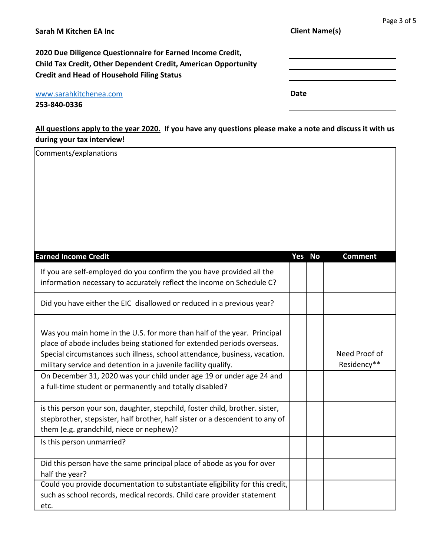| Sarah M Kitchen EA Inc                                                                                                                                                            | <b>Client Name(s)</b> | Page 3 of 5 |
|-----------------------------------------------------------------------------------------------------------------------------------------------------------------------------------|-----------------------|-------------|
| 2020 Due Diligence Questionnaire for Earned Income Credit,<br>Child Tax Credit, Other Dependent Credit, American Opportunity<br><b>Credit and Head of Household Filing Status</b> |                       |             |
| www.sarahkitchenea.com<br>253-840-0336                                                                                                                                            | Date                  |             |

| Comments/explanations                                                                                                                                                                                                                                                                                                                                                                                                                 |        |                              |
|---------------------------------------------------------------------------------------------------------------------------------------------------------------------------------------------------------------------------------------------------------------------------------------------------------------------------------------------------------------------------------------------------------------------------------------|--------|------------------------------|
| <b>Earned Income Credit</b>                                                                                                                                                                                                                                                                                                                                                                                                           | Yes No | <b>Comment</b>               |
| If you are self-employed do you confirm the you have provided all the<br>information necessary to accurately reflect the income on Schedule C?                                                                                                                                                                                                                                                                                        |        |                              |
| Did you have either the EIC disallowed or reduced in a previous year?                                                                                                                                                                                                                                                                                                                                                                 |        |                              |
| Was you main home in the U.S. for more than half of the year. Principal<br>place of abode includes being stationed for extended periods overseas.<br>Special circumstances such illness, school attendance, business, vacation.<br>military service and detention in a juvenile facility qualify.<br>On December 31, 2020 was your child under age 19 or under age 24 and<br>a full-time student or permanently and totally disabled? |        | Need Proof of<br>Residency** |
| is this person your son, daughter, stepchild, foster child, brother. sister,<br>stepbrother, stepsister, half brother, half sister or a descendent to any of<br>them (e.g. grandchild, niece or nephew)?<br>Is this person unmarried?                                                                                                                                                                                                 |        |                              |
| Did this person have the same principal place of abode as you for over<br>half the year?<br>Could you provide documentation to substantiate eligibility for this credit,<br>such as school records, medical records. Child care provider statement<br>etc.                                                                                                                                                                            |        |                              |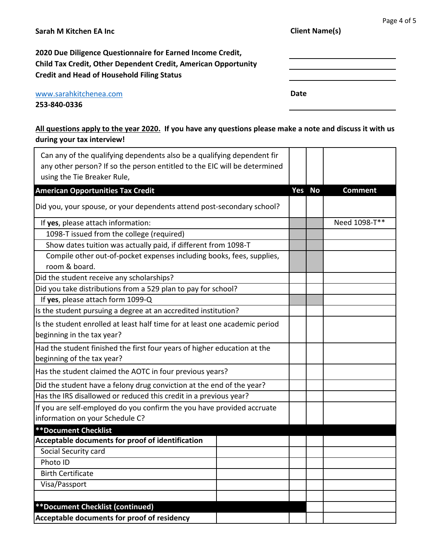| Sarah M Kitchen EA Inc                                                | <b>Client Name(s)</b> |  |  |  |
|-----------------------------------------------------------------------|-----------------------|--|--|--|
| 2020 Due Diligence Questionnaire for Earned Income Credit,            |                       |  |  |  |
| <b>Child Tax Credit, Other Dependent Credit, American Opportunity</b> |                       |  |  |  |
| <b>Credit and Head of Household Filing Status</b>                     |                       |  |  |  |
| www.sarahkitchenea.com                                                | Date                  |  |  |  |
| 253-840-0336                                                          |                       |  |  |  |

| Can any of the qualifying dependents also be a qualifying dependent fir<br>any other person? If so the person entitled to the EIC will be determined<br>using the Tie Breaker Rule, |  |        |                |
|-------------------------------------------------------------------------------------------------------------------------------------------------------------------------------------|--|--------|----------------|
| <b>American Opportunities Tax Credit</b>                                                                                                                                            |  | Yes No | <b>Comment</b> |
| Did you, your spouse, or your dependents attend post-secondary school?                                                                                                              |  |        |                |
| If yes, please attach information:                                                                                                                                                  |  |        | Need 1098-T**  |
| 1098-T issued from the college (required)                                                                                                                                           |  |        |                |
| Show dates tuition was actually paid, if different from 1098-T                                                                                                                      |  |        |                |
| Compile other out-of-pocket expenses including books, fees, supplies,<br>room & board.                                                                                              |  |        |                |
| Did the student receive any scholarships?                                                                                                                                           |  |        |                |
| Did you take distributions from a 529 plan to pay for school?                                                                                                                       |  |        |                |
| If yes, please attach form 1099-Q                                                                                                                                                   |  |        |                |
| Is the student pursuing a degree at an accredited institution?                                                                                                                      |  |        |                |
| Is the student enrolled at least half time for at least one academic period<br>beginning in the tax year?                                                                           |  |        |                |
| Had the student finished the first four years of higher education at the                                                                                                            |  |        |                |
| beginning of the tax year?                                                                                                                                                          |  |        |                |
| Has the student claimed the AOTC in four previous years?                                                                                                                            |  |        |                |
| Did the student have a felony drug conviction at the end of the year?                                                                                                               |  |        |                |
| Has the IRS disallowed or reduced this credit in a previous year?                                                                                                                   |  |        |                |
| If you are self-employed do you confirm the you have provided accruate<br>information on your Schedule C?                                                                           |  |        |                |
| <b>**Document Checklist</b>                                                                                                                                                         |  |        |                |
| Acceptable documents for proof of identification                                                                                                                                    |  |        |                |
| Social Security card                                                                                                                                                                |  |        |                |
| Photo ID<br><b>Birth Certificate</b>                                                                                                                                                |  |        |                |
|                                                                                                                                                                                     |  |        |                |
| Visa/Passport                                                                                                                                                                       |  |        |                |
| <b>**Document Checklist (continued)</b>                                                                                                                                             |  |        |                |
| Acceptable documents for proof of residency                                                                                                                                         |  |        |                |